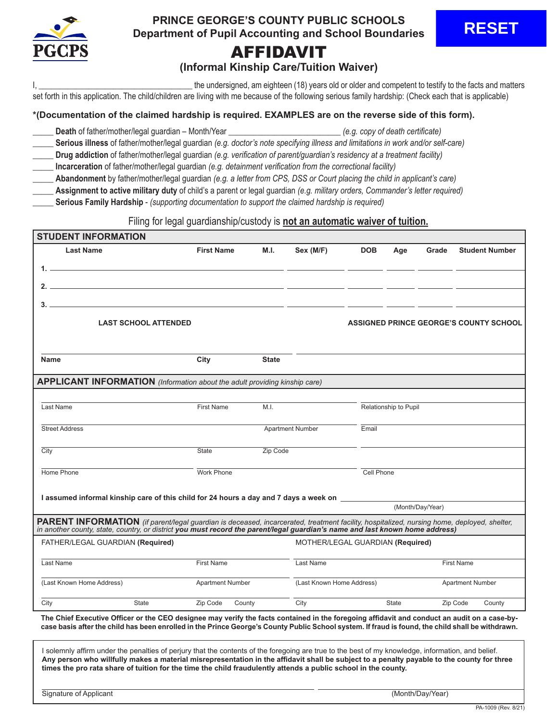

## **PRINCE GEORGE'S COUNTY PUBLIC SCHOOLS Department of Pupil Accounting and School Boundaries**

# AFFIDAVIT

## **(Informal Kinship Care/Tuition Waiver)**

the undersigned, am eighteen (18) years old or older and competent to testify to the facts and matters set forth in this application. The child/children are living with me because of the following serious family hardship: (Check each that is applicable)

#### **\*(Documentation of the claimed hardship is required. EXAMPLES are on the reverse side of this form).**

- \_\_\_\_\_ **Death** of father/mother/legal guardian Month/Year \_\_\_\_\_\_\_\_\_\_\_\_\_\_\_\_\_\_\_\_\_\_\_\_\_\_\_ *(e.g. copy of death certificate)*
- \_\_\_\_\_ **Serious illness** of father/mother/legal guardian *(e.g. doctor's note specifying illness and limitations in work and/or self-care)*
- \_\_\_\_\_ **Drug addiction** of father/mother/legal guardian *(e.g. verification of parent/guardian's residency at a treatment facility)*
- \_\_\_\_\_ **Incarceration** of father/mother/legal guardian *(e.g. detainment verification from the correctional facility)*
- \_\_\_\_\_ **Abandonment** by father/mother/legal guardian *(e.g. a letter from CPS, DSS or Court placing the child in applicant's care)*
	- \_\_\_\_\_ **Assignment to active military duty** of child's a parent or legal guardian *(e.g. military orders, Commander's letter required)*
- \_\_\_\_\_ **Serious Family Hardship** *(supporting documentation to support the claimed hardship is required)*

#### Filing for legal guardianship/custody is **not an automatic waiver of tuition.**

| <b>STUDENT INFORMATION</b>                                                                                                                                                                                                                                                 |                             |                         |                         |                                  |            |                         |                  |                                        |
|----------------------------------------------------------------------------------------------------------------------------------------------------------------------------------------------------------------------------------------------------------------------------|-----------------------------|-------------------------|-------------------------|----------------------------------|------------|-------------------------|------------------|----------------------------------------|
| <b>Last Name</b>                                                                                                                                                                                                                                                           |                             | <b>First Name</b>       | M.I.                    | Sex (M/F)                        | <b>DOB</b> | Age                     | Grade            | <b>Student Number</b>                  |
|                                                                                                                                                                                                                                                                            |                             |                         |                         |                                  |            |                         |                  |                                        |
|                                                                                                                                                                                                                                                                            |                             |                         |                         |                                  |            |                         |                  |                                        |
|                                                                                                                                                                                                                                                                            |                             |                         |                         |                                  |            |                         |                  |                                        |
| $3.$ $\overline{\phantom{a}}$ . The contract of the contract of the contract of the contract of the contract of the contract of the contract of the contract of the contract of the contract of the contract of the contract of the contra                                 |                             |                         |                         |                                  |            |                         |                  |                                        |
|                                                                                                                                                                                                                                                                            | <b>LAST SCHOOL ATTENDED</b> |                         |                         |                                  |            |                         |                  | ASSIGNED PRINCE GEORGE'S COUNTY SCHOOL |
|                                                                                                                                                                                                                                                                            |                             |                         |                         |                                  |            |                         |                  |                                        |
| <b>Name</b>                                                                                                                                                                                                                                                                | City                        |                         | <b>State</b>            |                                  |            |                         |                  |                                        |
| APPLICANT INFORMATION (Information about the adult providing kinship care)                                                                                                                                                                                                 |                             |                         |                         |                                  |            |                         |                  |                                        |
|                                                                                                                                                                                                                                                                            |                             |                         |                         |                                  |            |                         |                  |                                        |
| Last Name                                                                                                                                                                                                                                                                  | <b>First Name</b>           |                         | M.I.                    |                                  |            | Relationship to Pupil   |                  |                                        |
| <b>Street Address</b>                                                                                                                                                                                                                                                      |                             |                         | <b>Apartment Number</b> |                                  | Email      |                         |                  |                                        |
| City                                                                                                                                                                                                                                                                       | <b>State</b>                |                         | Zip Code                |                                  |            |                         |                  |                                        |
|                                                                                                                                                                                                                                                                            |                             |                         |                         |                                  |            |                         |                  |                                        |
| Home Phone                                                                                                                                                                                                                                                                 |                             | <b>Work Phone</b>       |                         |                                  | Cell Phone |                         |                  |                                        |
|                                                                                                                                                                                                                                                                            |                             |                         |                         |                                  |            |                         |                  |                                        |
| I assumed informal kinship care of this child for 24 hours a day and 7 days a week on                                                                                                                                                                                      |                             |                         |                         |                                  |            |                         | (Month/Day/Year) |                                        |
|                                                                                                                                                                                                                                                                            |                             |                         |                         |                                  |            |                         |                  |                                        |
| PARENT INFORMATION (if parent/legal guardian is deceased, incarcerated, treatment facility, hospitalized, nursing home, deployed, shelter,<br>in another county, state, country, or district you must record the parent/legal guardian's name and last known home address) |                             |                         |                         |                                  |            |                         |                  |                                        |
| FATHER/LEGAL GUARDIAN (Required)                                                                                                                                                                                                                                           |                             |                         |                         | MOTHER/LEGAL GUARDIAN (Required) |            |                         |                  |                                        |
| Last Name                                                                                                                                                                                                                                                                  | <b>First Name</b>           |                         |                         | Last Name                        |            |                         |                  | <b>First Name</b>                      |
|                                                                                                                                                                                                                                                                            |                             |                         |                         |                                  |            |                         |                  |                                        |
| (Last Known Home Address)                                                                                                                                                                                                                                                  |                             | <b>Apartment Number</b> |                         | (Last Known Home Address)        |            |                         |                  | <b>Apartment Number</b>                |
| City                                                                                                                                                                                                                                                                       | Zip Code<br>State           | County                  |                         | City                             |            | State                   |                  | Zip Code<br>County                     |
| The Objet Foreston Office                                                                                                                                                                                                                                                  | and an the OFO dealer       |                         |                         | والمستحلة المتارك المستعددات     |            | المستمر فالمتسام الالته |                  | والمستقلة والمستردات                   |

**The Chief Executive Officer or the CEO designee may verify the facts contained in the foregoing affidavit and conduct an audit on a case-bycase basis after the child has been enrolled in the Prince George's County Public School system. If fraud is found, the child shall be withdrawn.** 

I solemnly affirm under the penalties of perjury that the contents of the foregoing are true to the best of my knowledge, information, and belief. **Any person who willfully makes a material misrepresentation in the affidavit shall be subject to a penalty payable to the county for three times the pro rata share of tuition for the time the child fraudulently attends a public school in the county.**